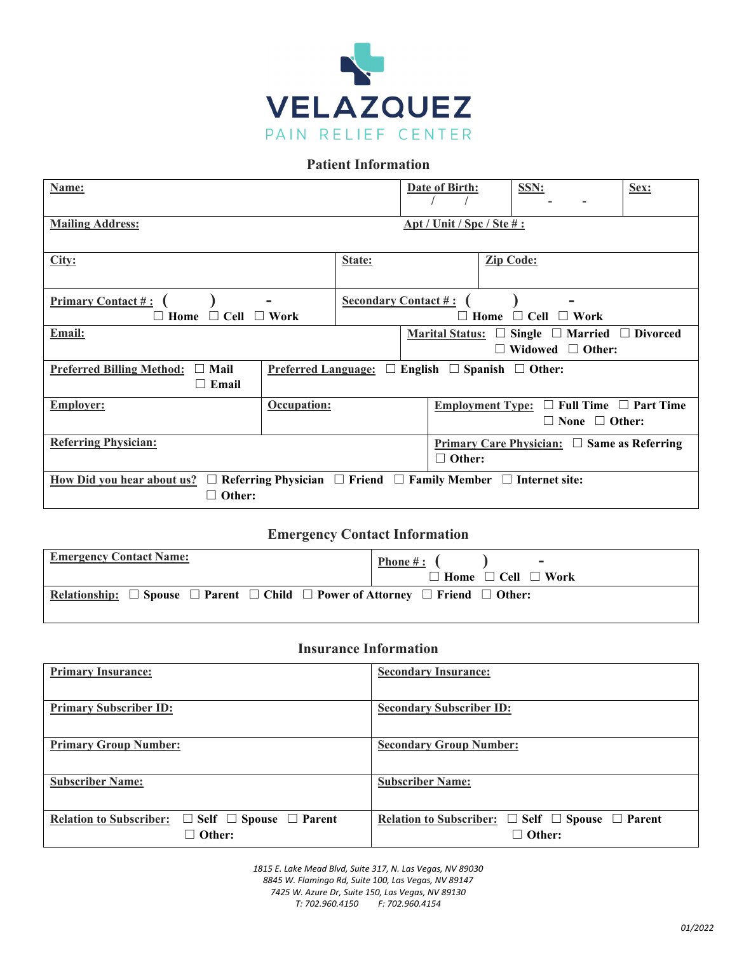

#### **Patient Information**

| Name:                                                                                                                                    |             |                             | Date of Birth: |                                                                          | SSN:             |  | Sex:                                                                                                  |                                   |
|------------------------------------------------------------------------------------------------------------------------------------------|-------------|-----------------------------|----------------|--------------------------------------------------------------------------|------------------|--|-------------------------------------------------------------------------------------------------------|-----------------------------------|
| <b>Mailing Address:</b>                                                                                                                  |             |                             |                | $\Delta pt$ / Unit / Spc / Ste #:                                        |                  |  |                                                                                                       |                                   |
| City:                                                                                                                                    |             | State:                      |                |                                                                          | <b>Zip Code:</b> |  |                                                                                                       |                                   |
| <b>Primary Contact #:</b><br>$\Box$ Cell $\Box$ Work<br>$\Box$ Home                                                                      |             | <b>Secondary Contact #:</b> |                |                                                                          |                  |  | $\Box$ Home $\Box$ Cell $\Box$ Work                                                                   |                                   |
| Email:                                                                                                                                   |             |                             |                |                                                                          |                  |  | Marital Status: $\square$ Single $\square$ Married $\square$ Divorced<br>$\Box$ Widowed $\Box$ Other: |                                   |
| Mail<br>English $\Box$ Spanish $\Box$ Other:<br><b>Preferred Billing Method:</b><br><b>Preferred Language:</b><br>$\Box$<br>$\Box$ Email |             |                             |                |                                                                          |                  |  |                                                                                                       |                                   |
| <b>Employer:</b>                                                                                                                         | Occupation: |                             |                | <b>Employment Type:</b>                                                  |                  |  | $\Box$ None $\Box$ Other:                                                                             | $\Box$ Full Time $\Box$ Part Time |
| <b>Referring Physician:</b>                                                                                                              |             |                             |                | <b>Primary Care Physician:</b> $\Box$ Same as Referring<br>$\Box$ Other: |                  |  |                                                                                                       |                                   |
| <u>How Did you hear about us?</u> $\Box$ Referring Physician $\Box$ Friend $\Box$ Family Member $\Box$ Internet site:<br>Other:          |             |                             |                |                                                                          |                  |  |                                                                                                       |                                   |

#### **Emergency Contact Information**

| <b>Emergency Contact Name:</b>                                                                                                | Phone #: $($<br>$\sim$              |
|-------------------------------------------------------------------------------------------------------------------------------|-------------------------------------|
|                                                                                                                               | $\Box$ Home $\Box$ Cell $\Box$ Work |
| Relationship: $\square$ Spouse $\square$ Parent $\square$ Child $\square$ Power of Attorney $\square$ Friend $\square$ Other: |                                     |

#### **Insurance Information**

| <b>Primary Insurance:</b>                                                                  | <b>Secondary Insurance:</b>                                                               |
|--------------------------------------------------------------------------------------------|-------------------------------------------------------------------------------------------|
| <b>Primary Subscriber ID:</b>                                                              | <b>Secondary Subscriber ID:</b>                                                           |
| <b>Primary Group Number:</b>                                                               | <b>Secondary Group Number:</b>                                                            |
| <b>Subscriber Name:</b>                                                                    | <b>Subscriber Name:</b>                                                                   |
| <b>Relation to Subscriber:</b><br>$\Box$ Self $\Box$ Spouse $\Box$ Parent<br>$\Box$ Other: | Relation to Subscriber: $\square$ Self $\square$ Spouse $\square$ Parent<br>$\Box$ Other: |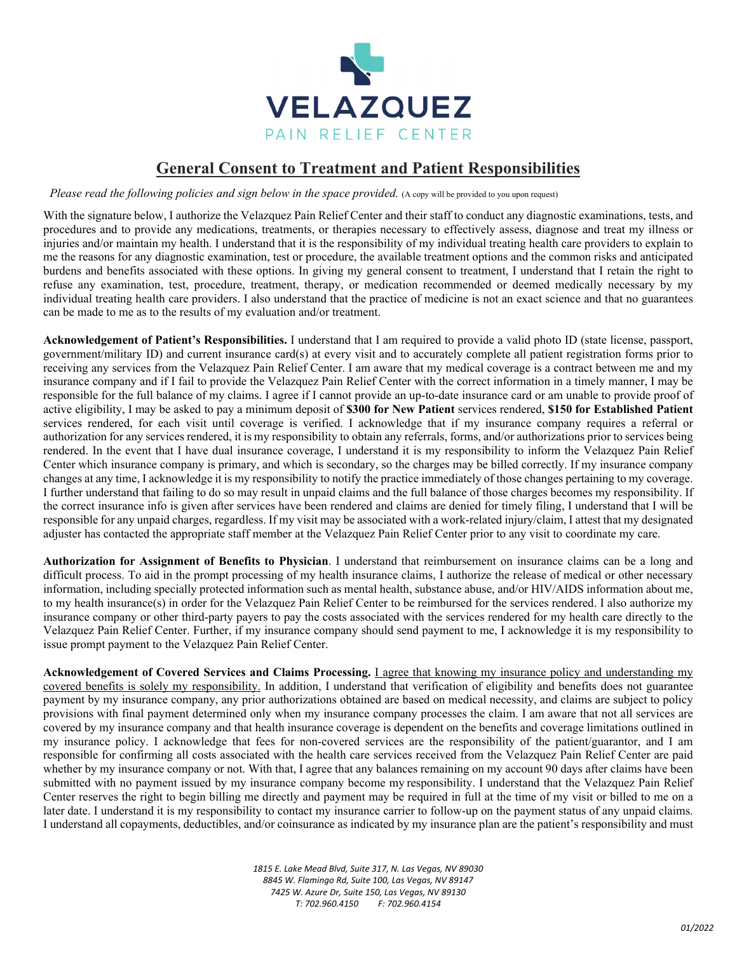

### **General Consent to Treatment and Patient Responsibilities**

*Please read the following policies and sign below in the space provided.* (A copy will be provided to you upon request)

With the signature below, I authorize the Velazquez Pain Relief Center and their staff to conduct any diagnostic examinations, tests, and procedures and to provide any medications, treatments, or therapies necessary to effectively assess, diagnose and treat my illness or injuries and/or maintain my health. I understand that it is the responsibility of my individual treating health care providers to explain to me the reasons for any diagnostic examination, test or procedure, the available treatment options and the common risks and anticipated burdens and benefits associated with these options. In giving my general consent to treatment, I understand that I retain the right to refuse any examination, test, procedure, treatment, therapy, or medication recommended or deemed medically necessary by my individual treating health care providers. I also understand that the practice of medicine is not an exact science and that no guarantees can be made to me as to the results of my evaluation and/or treatment.

**Acknowledgement of Patient's Responsibilities.** I understand that I am required to provide a valid photo ID (state license, passport, government/military ID) and current insurance card(s) at every visit and to accurately complete all patient registration forms prior to receiving any services from the Velazquez Pain Relief Center. I am aware that my medical coverage is a contract between me and my insurance company and if I fail to provide the Velazquez Pain Relief Center with the correct information in a timely manner, I may be responsible for the full balance of my claims. I agree if I cannot provide an up-to-date insurance card or am unable to provide proof of active eligibility, I may be asked to pay a minimum deposit of **\$300 for New Patient** services rendered, **\$150 for Established Patient** services rendered, for each visit until coverage is verified. I acknowledge that if my insurance company requires a referral or authorization for any services rendered, it is my responsibility to obtain any referrals, forms, and/or authorizations prior to services being rendered. In the event that I have dual insurance coverage, I understand it is my responsibility to inform the Velazquez Pain Relief Center which insurance company is primary, and which is secondary, so the charges may be billed correctly. If my insurance company changes at any time, I acknowledge it is my responsibility to notify the practice immediately of those changes pertaining to my coverage. I further understand that failing to do so may result in unpaid claims and the full balance of those charges becomes my responsibility. If the correct insurance info is given after services have been rendered and claims are denied for timely filing, I understand that I will be responsible for any unpaid charges, regardless. If my visit may be associated with a work-related injury/claim, I attest that my designated adjuster has contacted the appropriate staff member at the Velazquez Pain Relief Center prior to any visit to coordinate my care.

**Authorization for Assignment of Benefits to Physician**. I understand that reimbursement on insurance claims can be a long and difficult process. To aid in the prompt processing of my health insurance claims, I authorize the release of medical or other necessary information, including specially protected information such as mental health, substance abuse, and/or HIV/AIDS information about me, to my health insurance(s) in order for the Velazquez Pain Relief Center to be reimbursed for the services rendered. I also authorize my insurance company or other third-party payers to pay the costs associated with the services rendered for my health care directly to the Velazquez Pain Relief Center. Further, if my insurance company should send payment to me, I acknowledge it is my responsibility to issue prompt payment to the Velazquez Pain Relief Center.

**Acknowledgement of Covered Services and Claims Processing.** I agree that knowing my insurance policy and understanding my covered benefits is solely my responsibility. In addition, I understand that verification of eligibility and benefits does not guarantee payment by my insurance company, any prior authorizations obtained are based on medical necessity, and claims are subject to policy provisions with final payment determined only when my insurance company processes the claim. I am aware that not all services are covered by my insurance company and that health insurance coverage is dependent on the benefits and coverage limitations outlined in my insurance policy. I acknowledge that fees for non-covered services are the responsibility of the patient/guarantor, and I am responsible for confirming all costs associated with the health care services received from the Velazquez Pain Relief Center are paid whether by my insurance company or not. With that, I agree that any balances remaining on my account 90 days after claims have been submitted with no payment issued by my insurance company become my responsibility. I understand that the Velazquez Pain Relief Center reserves the right to begin billing me directly and payment may be required in full at the time of my visit or billed to me on a later date. I understand it is my responsibility to contact my insurance carrier to follow-up on the payment status of any unpaid claims. I understand all copayments, deductibles, and/or coinsurance as indicated by my insurance plan are the patient's responsibility and must

> *E. Lake Mead Blvd, Suite 317, N. Las Vegas, NV 89030 W. Flamingo Rd, Suite 100, Las Vegas, NV 89147 W. Azure Dr, Suite 150, Las Vegas, NV 89130 T: 702.960.4150 F: 702.960.4154*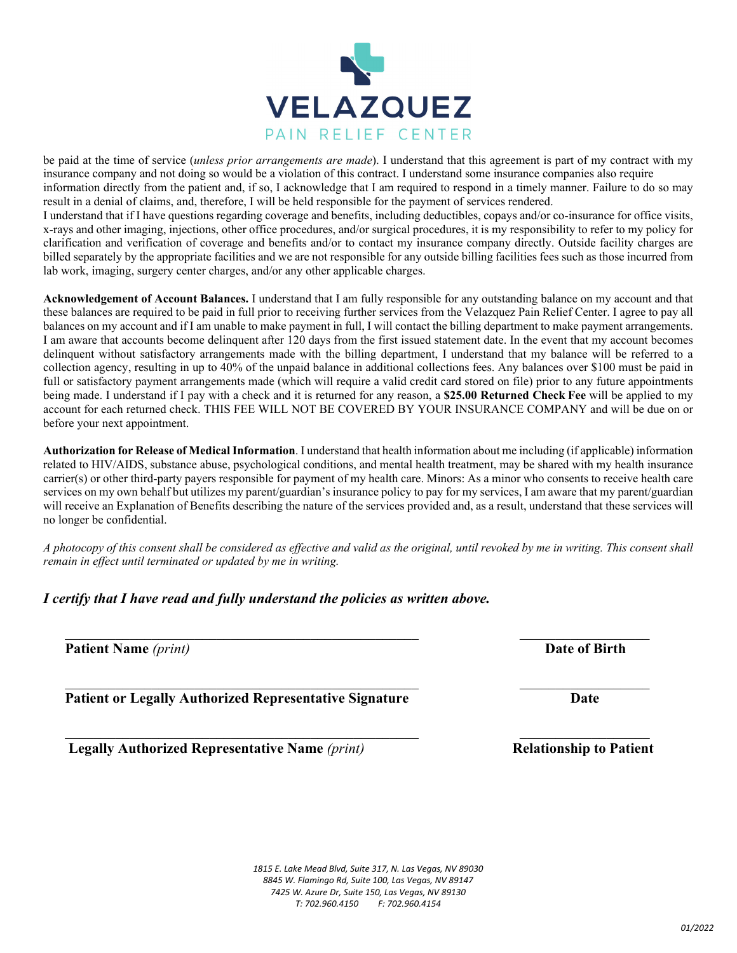

information directly from the patient and, if so, I acknowledge that I am required to respond in a timely manner. Failure to do so may result in a denial of claims, and, therefore, I will be held responsible for the payment of services rendered. I understand that if I have questions regarding coverage and benefits, including deductibles, copays and/or co-insurance for office visits, x-rays and other imaging, injections, other office procedures, and/or surgical procedures, it is my responsibility to refer to my policy for clarification and verification of coverage and benefits and/or to contact my insurance company directly. Outside facility charges are billed separately by the appropriate facilities and we are not responsible for any outside billing facilities fees such as those incurred from lab work, imaging, surgery center charges, and/or any other applicable charges.

**Acknowledgement of Account Balances.** I understand that I am fully responsible for any outstanding balance on my account and that these balances are required to be paid in full prior to receiving further services from the Velazquez Pain Relief Center. I agree to pay all balances on my account and if I am unable to make payment in full, I will contact the billing department to make payment arrangements. I am aware that accounts become delinquent after 120 days from the first issued statement date. In the event that my account becomes delinquent without satisfactory arrangements made with the billing department, I understand that my balance will be referred to a collection agency, resulting in up to 40% of the unpaid balance in additional collections fees. Any balances over \$100 must be paid in full or satisfactory payment arrangements made (which will require a valid credit card stored on file) prior to any future appointments being made. I understand if I pay with a check and it is returned for any reason, a **\$25.00 Returned Check Fee** will be applied to my account for each returned check. THIS FEE WILL NOT BE COVERED BY YOUR INSURANCE COMPANY and will be due on or before your next appointment.

**Authorization for Release of Medical Information**. I understand that health information about me including (if applicable) information related to HIV/AIDS, substance abuse, psychological conditions, and mental health treatment, may be shared with my health insurance carrier(s) or other third-party payers responsible for payment of my health care. Minors: As a minor who consents to receive health care services on my own behalf but utilizes my parent/guardian's insurance policy to pay for my services, I am aware that my parent/guardian will receive an Explanation of Benefits describing the nature of the services provided and, as a result, understand that these services will no longer be confidential.

*A photocopy of this consent shall be considered as effective and valid as the original, until revoked by me in writing. This consent shall remain in effect until terminated or updated by me in writing.*

 $\_$  , and the contribution of the contribution of  $\mathcal{L}_\mathcal{A}$  , and the contribution of  $\mathcal{L}_\mathcal{A}$ 

#### *I certify that I have read and fully understand the policies as written above.*

**Patient Name** *(print)* **Date of Birth** 

Patient or Legally Authorized Representative Signature **Date Date** 

 **Legally Authorized Representative Name** (print) **Relationship to Patient** 



**VELAZQUEZ** PAIN RELIEF CENTER

be paid at the time of service (*unless prior arrangements are made*). I understand that this agreement is part of my contract with my insurance company and not doing so would be a violation of this contract. I understand some insurance companies also require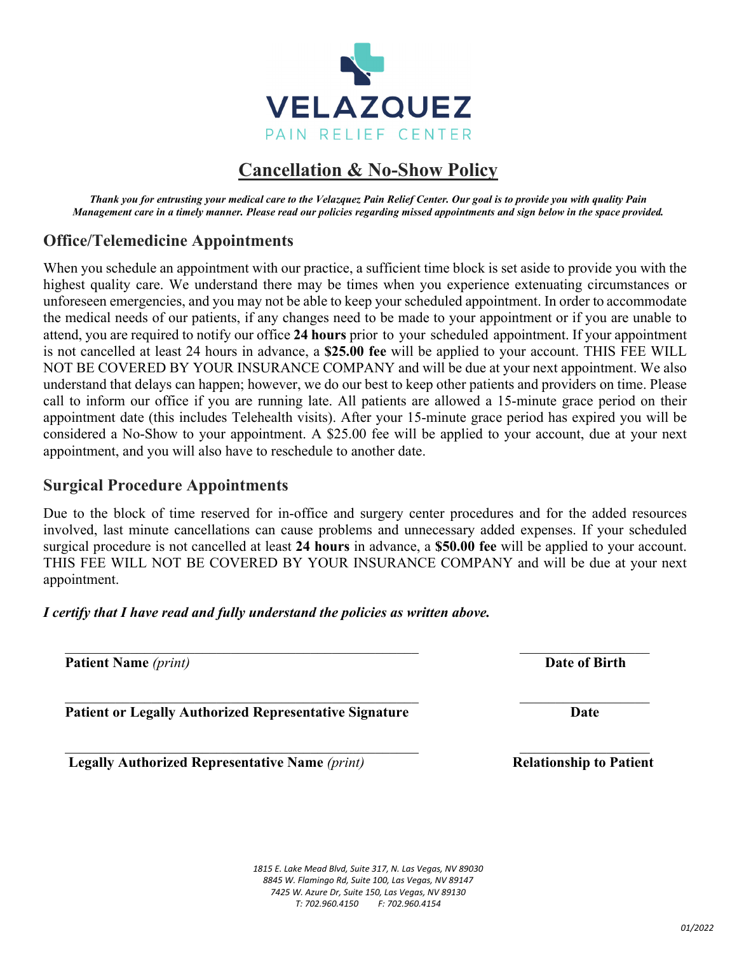

# **Cancellation & No-Show Policy**

*Thank you for entrusting your medical care to the Velazquez Pain Relief Center. Our goal is to provide you with quality Pain Management care in a timely manner. Please read our policies regarding missed appointments and sign below in the space provided.* 

# **Office/Telemedicine Appointments**

When you schedule an appointment with our practice, a sufficient time block is set aside to provide you with the highest quality care. We understand there may be times when you experience extenuating circumstances or unforeseen emergencies, and you may not be able to keep your scheduled appointment. In order to accommodate the medical needs of our patients, if any changes need to be made to your appointment or if you are unable to attend, you are required to notify our office **24 hours** prior to your scheduled appointment. If your appointment is not cancelled at least 24 hours in advance, a **\$25.00 fee** will be applied to your account. THIS FEE WILL NOT BE COVERED BY YOUR INSURANCE COMPANY and will be due at your next appointment. We also understand that delays can happen; however, we do our best to keep other patients and providers on time. Please call to inform our office if you are running late. All patients are allowed a 15-minute grace period on their appointment date (this includes Telehealth visits). After your 15-minute grace period has expired you will be considered a No-Show to your appointment. A \$25.00 fee will be applied to your account, due at your next appointment, and you will also have to reschedule to another date.

# **Surgical Procedure Appointments**

Due to the block of time reserved for in-office and surgery center procedures and for the added resources involved, last minute cancellations can cause problems and unnecessary added expenses. If your scheduled surgical procedure is not cancelled at least **24 hours** in advance, a **\$50.00 fee** will be applied to your account. THIS FEE WILL NOT BE COVERED BY YOUR INSURANCE COMPANY and will be due at your next appointment.

*I certify that I have read and fully understand the policies as written above.* 

**Patient Name** *(print)* **Date of Birth** 

Patient or Legally Authorized Representative Signature **Date Date** 

 **Legally Authorized Representative Name** (print) *Relationship to Patient* 

\_\_\_\_\_\_\_\_\_\_\_\_\_\_\_\_\_\_\_\_\_\_\_\_\_\_\_\_\_\_\_\_\_\_\_\_\_\_\_\_\_\_\_\_\_\_\_\_\_\_\_\_\_\_\_\_\_\_\_\_\_\_\_\_\_\_\_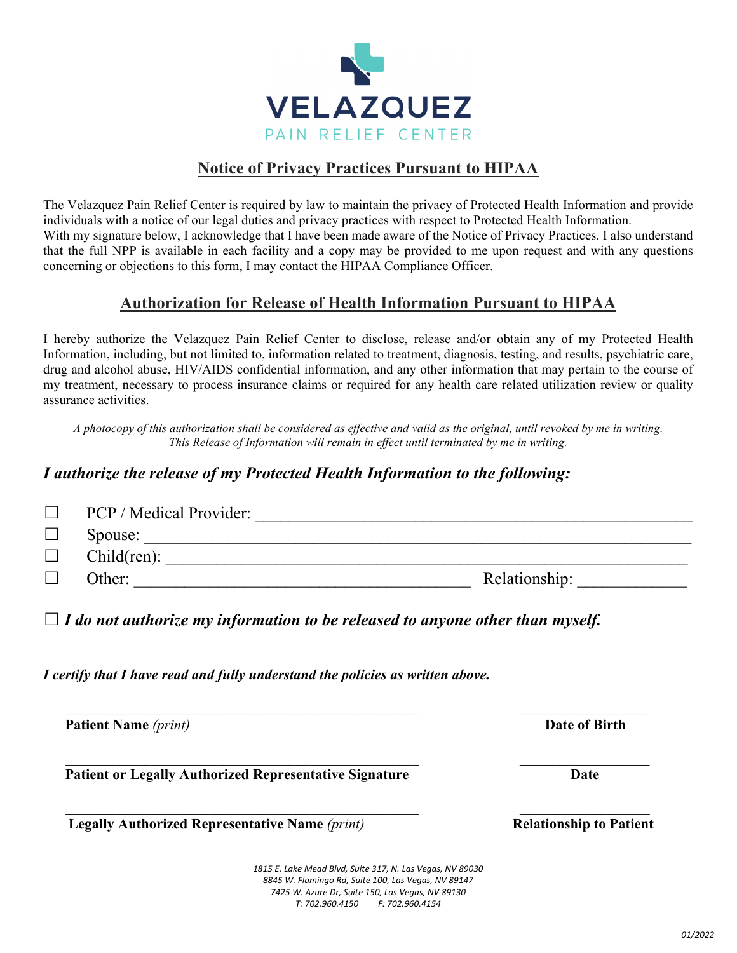

# **Notice of Privacy Practices Pursuant to HIPAA**

The Velazquez Pain Relief Center is required by law to maintain the privacy of Protected Health Information and provide individuals with a notice of our legal duties and privacy practices with respect to Protected Health Information. With my signature below, I acknowledge that I have been made aware of the Notice of Privacy Practices. I also understand that the full NPP is available in each facility and a copy may be provided to me upon request and with any questions concerning or objections to this form, I may contact the HIPAA Compliance Officer.

# **Authorization for Release of Health Information Pursuant to HIPAA**

I hereby authorize the Velazquez Pain Relief Center to disclose, release and/or obtain any of my Protected Health Information, including, but not limited to, information related to treatment, diagnosis, testing, and results, psychiatric care, drug and alcohol abuse, HIV/AIDS confidential information, and any other information that may pertain to the course of my treatment, necessary to process insurance claims or required for any health care related utilization review or quality assurance activities.

*A photocopy of this authorization shall be considered as effective and valid as the original, until revoked by me in writing. This Release of Information will remain in effect until terminated by me in writing.* 

#### *I authorize the release of my Protected Health Information to the following:*

| PCP / Medical Provider: |               |
|-------------------------|---------------|
| Spouse:                 |               |
| Child(ren):             |               |
| Other:                  | Relationship: |

 $\Box$  *I do not authorize my information to be released to anyone other than myself.* 

*I certify that I have read and fully understand the policies as written above.* 

**Patient Name** (*print*) **Date of Birth** 

Patient or Legally Authorized Representative Signature **Date Date** 

 **Legally Authorized Representative Name** (print) **Relationship to Patient Relationship to Patient** 

 *E. Lake Mead Blvd, Suite 317, N. Las Vegas, NV 89030 W. Flamingo Rd, Suite 100, Las Vegas, NV 89147 W. Azure Dr, Suite 150, Las Vegas, NV 89130 T: 702.960.4150 F: 702.960.4154*

*01/2022 01/2022*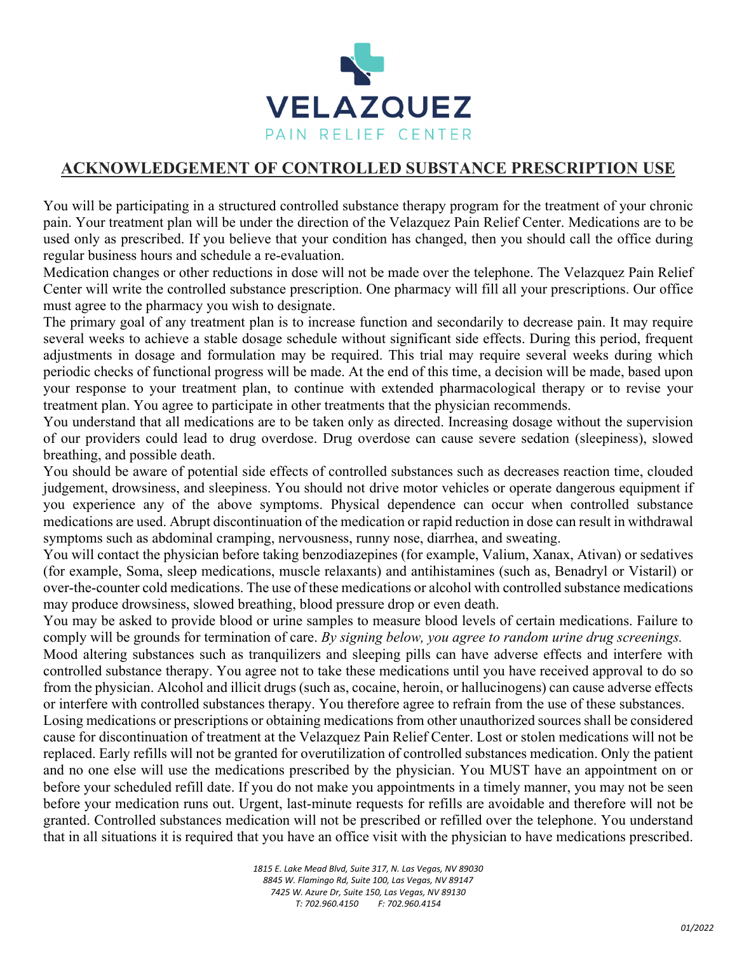

#### **ACKNOWLEDGEMENT OF CONTROLLED SUBSTANCE PRESCRIPTION USE**

You will be participating in a structured controlled substance therapy program for the treatment of your chronic pain. Your treatment plan will be under the direction of the Velazquez Pain Relief Center. Medications are to be used only as prescribed. If you believe that your condition has changed, then you should call the office during regular business hours and schedule a re-evaluation.

Medication changes or other reductions in dose will not be made over the telephone. The Velazquez Pain Relief Center will write the controlled substance prescription. One pharmacy will fill all your prescriptions. Our office must agree to the pharmacy you wish to designate.

The primary goal of any treatment plan is to increase function and secondarily to decrease pain. It may require several weeks to achieve a stable dosage schedule without significant side effects. During this period, frequent adjustments in dosage and formulation may be required. This trial may require several weeks during which periodic checks of functional progress will be made. At the end of this time, a decision will be made, based upon your response to your treatment plan, to continue with extended pharmacological therapy or to revise your treatment plan. You agree to participate in other treatments that the physician recommends.

You understand that all medications are to be taken only as directed. Increasing dosage without the supervision of our providers could lead to drug overdose. Drug overdose can cause severe sedation (sleepiness), slowed breathing, and possible death.

You should be aware of potential side effects of controlled substances such as decreases reaction time, clouded judgement, drowsiness, and sleepiness. You should not drive motor vehicles or operate dangerous equipment if you experience any of the above symptoms. Physical dependence can occur when controlled substance medications are used. Abrupt discontinuation of the medication or rapid reduction in dose can result in withdrawal symptoms such as abdominal cramping, nervousness, runny nose, diarrhea, and sweating.

You will contact the physician before taking benzodiazepines (for example, Valium, Xanax, Ativan) or sedatives (for example, Soma, sleep medications, muscle relaxants) and antihistamines (such as, Benadryl or Vistaril) or over-the-counter cold medications. The use of these medications or alcohol with controlled substance medications may produce drowsiness, slowed breathing, blood pressure drop or even death.

You may be asked to provide blood or urine samples to measure blood levels of certain medications. Failure to comply will be grounds for termination of care. *By signing below, you agree to random urine drug screenings.* 

Mood altering substances such as tranquilizers and sleeping pills can have adverse effects and interfere with controlled substance therapy. You agree not to take these medications until you have received approval to do so from the physician. Alcohol and illicit drugs (such as, cocaine, heroin, or hallucinogens) can cause adverse effects or interfere with controlled substances therapy. You therefore agree to refrain from the use of these substances.

Losing medications or prescriptions or obtaining medications from other unauthorized sources shall be considered cause for discontinuation of treatment at the Velazquez Pain Relief Center. Lost or stolen medications will not be replaced. Early refills will not be granted for overutilization of controlled substances medication. Only the patient and no one else will use the medications prescribed by the physician. You MUST have an appointment on or before your scheduled refill date. If you do not make you appointments in a timely manner, you may not be seen before your medication runs out. Urgent, last-minute requests for refills are avoidable and therefore will not be granted. Controlled substances medication will not be prescribed or refilled over the telephone. You understand that in all situations it is required that you have an office visit with the physician to have medications prescribed.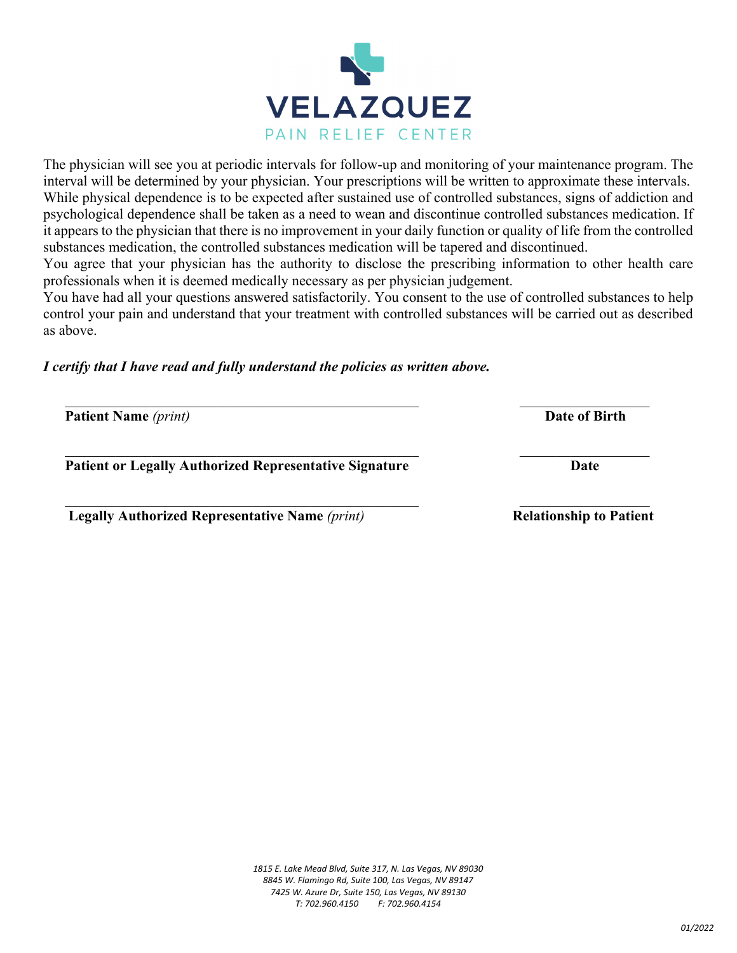



The physician will see you at periodic intervals for follow-up and monitoring of your maintenance program. The interval will be determined by your physician. Your prescriptions will be written to approximate these intervals. While physical dependence is to be expected after sustained use of controlled substances, signs of addiction and psychological dependence shall be taken as a need to wean and discontinue controlled substances medication. If it appears to the physician that there is no improvement in your daily function or quality of life from the controlled substances medication, the controlled substances medication will be tapered and discontinued.

You agree that your physician has the authority to disclose the prescribing information to other health care professionals when it is deemed medically necessary as per physician judgement.

You have had all your questions answered satisfactorily. You consent to the use of controlled substances to help control your pain and understand that your treatment with controlled substances will be carried out as described as above.

*I certify that I have read and fully understand the policies as written above.* 

**Patient Name** *(print)* **Date of Birth** 

Patient or Legally Authorized Representative Signature **Date Date** 

 **Legally Authorized Representative Name** (print) **Relationship to Patient** 

\_\_\_\_\_\_\_\_\_\_\_\_\_\_\_\_\_\_\_\_\_\_\_\_\_\_\_\_\_\_\_\_\_\_\_\_\_\_\_\_\_\_\_\_\_\_\_\_\_\_\_\_\_\_\_\_\_\_\_\_\_\_\_\_\_\_\_

**VELAZQUEZ** PAIN RELIEF CENTER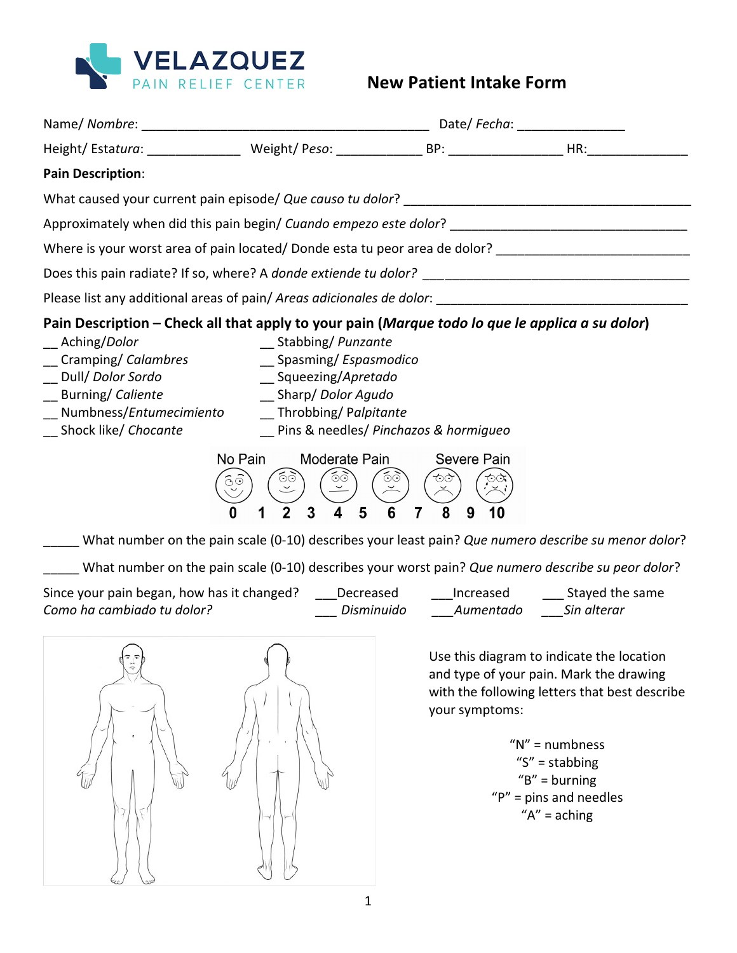

| <b>Pain Description:</b>                                                                                                                                                                                                                                       |                                                                                                                                                                     |                   |                                                 |                                                                                                                                                                                                                                                              |  |  |  |  |
|----------------------------------------------------------------------------------------------------------------------------------------------------------------------------------------------------------------------------------------------------------------|---------------------------------------------------------------------------------------------------------------------------------------------------------------------|-------------------|-------------------------------------------------|--------------------------------------------------------------------------------------------------------------------------------------------------------------------------------------------------------------------------------------------------------------|--|--|--|--|
|                                                                                                                                                                                                                                                                |                                                                                                                                                                     |                   |                                                 |                                                                                                                                                                                                                                                              |  |  |  |  |
| Approximately when did this pain begin/ Cuando empezo este dolor? __________________________________                                                                                                                                                           |                                                                                                                                                                     |                   |                                                 |                                                                                                                                                                                                                                                              |  |  |  |  |
|                                                                                                                                                                                                                                                                | Where is your worst area of pain located/ Donde esta tu peor area de dolor? __________________________________                                                      |                   |                                                 |                                                                                                                                                                                                                                                              |  |  |  |  |
|                                                                                                                                                                                                                                                                |                                                                                                                                                                     |                   |                                                 |                                                                                                                                                                                                                                                              |  |  |  |  |
|                                                                                                                                                                                                                                                                |                                                                                                                                                                     |                   |                                                 |                                                                                                                                                                                                                                                              |  |  |  |  |
| Pain Description - Check all that apply to your pain (Marque todo lo que le applica a su dolor)<br>__ Aching/Dolor<br>Cramping/ Calambres<br>Dull/ <i>Dolor Sordo</i><br><b>Burning/ Caliente</b><br>Numbness/Entumecimiento<br>__ Shock like/ <i>Chocante</i> | __ Stabbing/ Punzante<br>_Spasming/Espasmodico<br>Squeezing/Apretado<br>__ Sharp/ Dolor Agudo<br>__Throbbing/ Palpitante<br>_ Pins & needles/ Pinchazos & hormigueo |                   |                                                 |                                                                                                                                                                                                                                                              |  |  |  |  |
| $\widehat{\odot} \widehat{\odot}$<br>O<br>What number on the pain scale (0-10) describes your least pain? Que numero describe su menor dolor?                                                                                                                  | Moderate Pain<br>No Pain<br>65<br>$\odot$<br>5<br>3<br>1                                                                                                            | $\odot$<br>6<br>7 | Severe Pain<br>もみ<br>8<br>9                     |                                                                                                                                                                                                                                                              |  |  |  |  |
| What number on the pain scale (0-10) describes your worst pain? Que numero describe su peor dolor?                                                                                                                                                             |                                                                                                                                                                     |                   |                                                 |                                                                                                                                                                                                                                                              |  |  |  |  |
| Since your pain began, how has it changed? ____Decreased _______Increased ________ Stayed the same<br>Como ha cambiado tu dolor?                                                                                                                               |                                                                                                                                                                     |                   | ___ Disminuido ______Aumentado _____Sin alterar |                                                                                                                                                                                                                                                              |  |  |  |  |
| $\sqrt{2}$                                                                                                                                                                                                                                                     | $\curvearrowright$                                                                                                                                                  |                   | your symptoms:                                  | Use this diagram to indicate the location<br>and type of your pain. Mark the drawing<br>with the following letters that best describe<br>" $N$ " = numbness<br>" $S$ " = stabbing<br>$\textsf{B}''$ = burning<br>$"P"$ = pins and needles<br>" $A" = aching$ |  |  |  |  |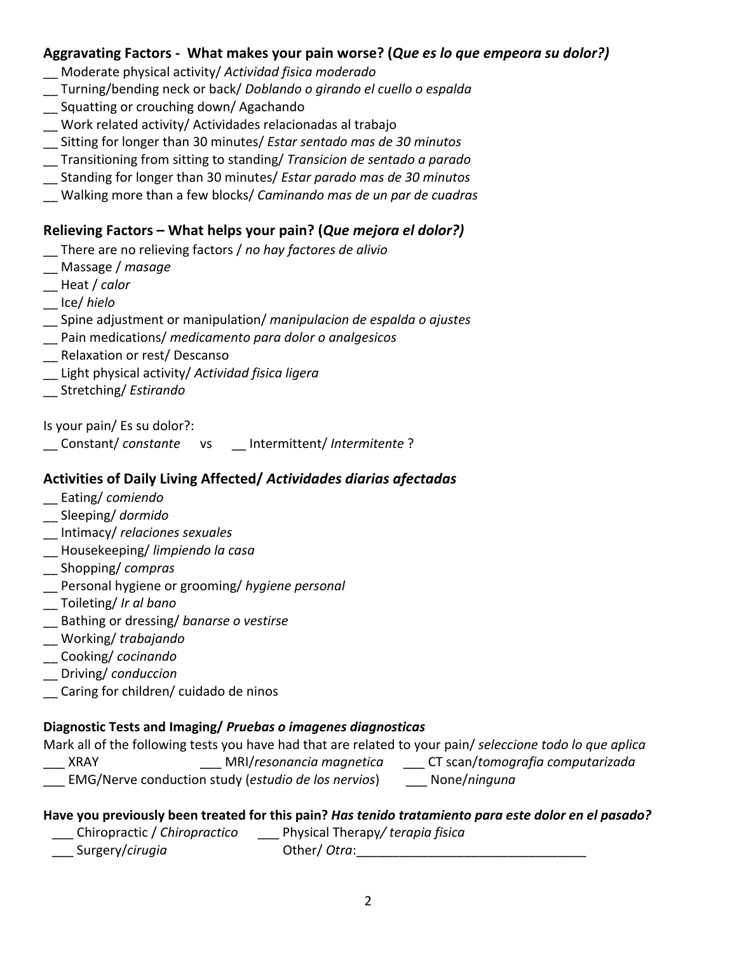#### Aggravating Factors - What makes your pain worse? (*Que es lo que empeora su dolor?*)

- Moderate physical activity/ Actividad fisica moderado
- \_\_ Turning/bending neck or back/ *Doblando o girando el cuello o espalda*
- \_\_ Squatting or crouching down/ Agachando
- \_\_ Work related activity/ Actividades relacionadas al trabajo
- \_\_ Sitting for longer than 30 minutes/ *Estar sentado mas de 30 minutos*
- \_\_ Transitioning from sitting to standing/ *Transicion de sentado a parado*
- \_\_ Standing for longer than 30 minutes/ *Estar parado mas de 30 minutos*
- \_\_ Walking more than a few blocks/ *Caminando mas de un par de cuadras*

#### **Relieving Factors – What helps your pain? (Que mejora el dolor?)**

- \_\_ There are no relieving factors / *no hay factores de alivio*
- \_\_ Massage / *masage*
- \_\_ Heat / *calor*
- \_\_ Ice/ *hielo*
- \_\_ Spine adjustment or manipulation/ *manipulacion de espalda o ajustes*
- \_\_ Pain medications/ *medicamento para dolor o analgesicos*
- \_\_ Relaxation or rest/ Descanso
- \_\_ Light physical activity/ *Actividad fisica ligera*
- \_\_ Stretching/ *Estirando*

Is your pain/ Es su dolor?:

Constant/ *constante* vs Intermittent/ Intermitente?

#### Activities of Daily Living Affected/ Actividades diarias afectadas

- Eating/ *comiendo*
- \_\_ Sleeping/ *dormido*
- \_\_ Intimacy/ *relaciones sexuales*
- \_\_ Housekeeping/ *limpiendo la casa*
- \_\_ Shopping/ *compras*
- \_\_ Personal hygiene or grooming/ *hygiene personal*
- \_\_ Toileting/ *Ir al bano*
- \_\_ Bathing or dressing/ *banarse o vestirse*
- \_\_ Working/ *trabajando*
- \_\_ Cooking/ *cocinando*
- \_\_ Driving/ *conduccion*
- \_\_ Caring for children/ cuidado de ninos

#### **Diagnostic Tests and Imaging/** *Pruebas o imagenes diagnosticas*

Mark all of the following tests you have had that are related to your pain/ seleccione todo lo que aplica

- \_\_\_ XRAY \_\_\_ MRI/*resonancia magnetica* \_\_\_ CT scan/*tomografia computarizada*
- **\_\_\_ EMG/Nerve conduction study (estudio de los nervios)** \_\_\_ None/ninguna
	-

# Have you previously been treated for this pain? *Has tenido tratamiento para este dolor en el pasado?*

- \_\_\_ Chiropractic / *Chiropractico* \_\_\_ Physical Therapy*/ terapia fisica*
- \_\_\_ Surgery/*cirugia* Other/ *Otra*:\_\_\_\_\_\_\_\_\_\_\_\_\_\_\_\_\_\_\_\_\_\_\_\_\_\_\_\_\_\_\_\_
	-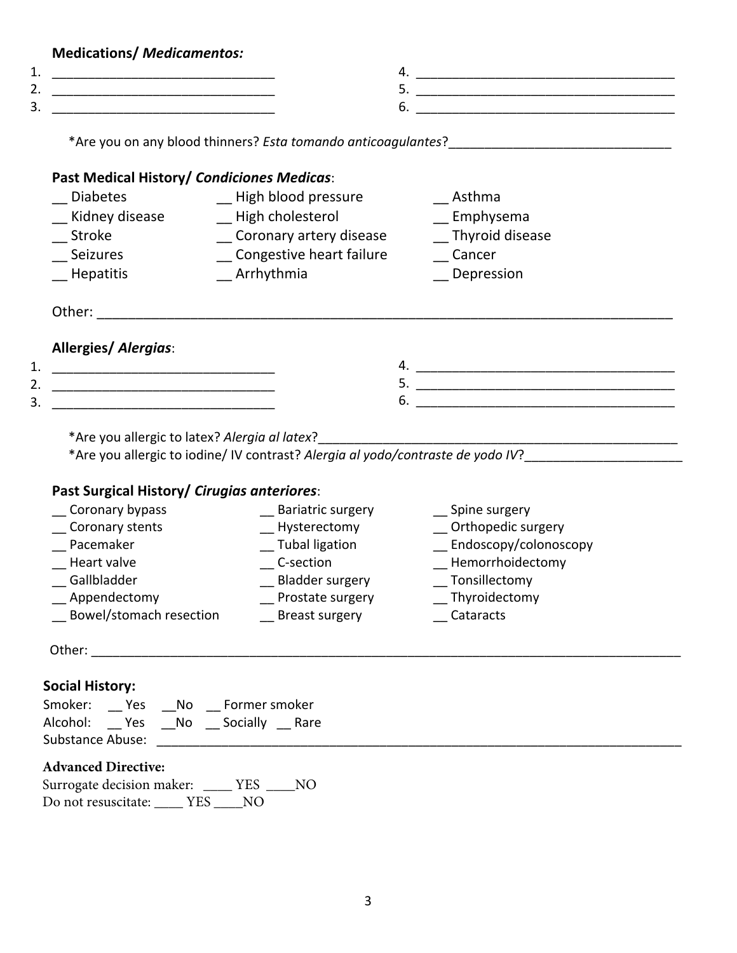| <b>Medications/ Medicamentos:</b>                                                                                            |                                               |                                                                                                                |
|------------------------------------------------------------------------------------------------------------------------------|-----------------------------------------------|----------------------------------------------------------------------------------------------------------------|
| 1.                                                                                                                           |                                               |                                                                                                                |
| 3.<br><u> 1999 - Johann John Stone, mars et al. 1999 - John Stone, mars et al. 1999 - John Stone, mars et al. 199</u>        |                                               |                                                                                                                |
|                                                                                                                              |                                               |                                                                                                                |
|                                                                                                                              | Past Medical History/ Condiciones Medicas:    |                                                                                                                |
| <b>Diabetes</b>                                                                                                              | _ High blood pressure                         | Asthma                                                                                                         |
| Kidney disease                                                                                                               | _ High cholesterol                            | $\equiv$ Emphysema                                                                                             |
| <b>Stroke Stroke</b>                                                                                                         | __ Coronary artery disease                    | Thyroid disease                                                                                                |
| Seizures                                                                                                                     | Congestive heart failure                      | Cancer                                                                                                         |
| __ Hepatitis                                                                                                                 | $R$ Thythmia                                  | _ Depression                                                                                                   |
| <b>Allergies/ Alergias:</b>                                                                                                  |                                               |                                                                                                                |
|                                                                                                                              |                                               |                                                                                                                |
| 3.<br><u> 1989 - Johann John Harry Harry Harry Harry Harry Harry Harry Harry Harry Harry Harry Harry Harry Harry Harry H</u> |                                               |                                                                                                                |
|                                                                                                                              | *Are you allergic to latex? Alergia al latex? | *Are you allergic to iodine/ IV contrast? Alergia al yodo/contraste de yodo IV?_______________________________ |
| Past Surgical History/ Cirugias anteriores:                                                                                  |                                               |                                                                                                                |
| __ Coronary bypass                                                                                                           | __ Bariatric surgery                          | __ Spine surgery                                                                                               |
| Coronary stents                                                                                                              | __ Hysterectomy                               | _ Orthopedic surgery                                                                                           |
| _ Pacemaker                                                                                                                  | __ Tubal ligation                             | _Endoscopy/colonoscopy                                                                                         |
|                                                                                                                              |                                               |                                                                                                                |
| Heart valve                                                                                                                  | C-section                                     | _ Hemorrhoidectomy                                                                                             |
| Gallbladder<br>Appendectomy                                                                                                  | <b>Bladder surgery</b><br>Prostate surgery    | _ Tonsillectomy<br>Thyroidectomy                                                                               |

 Other: \_\_\_\_\_\_\_\_\_\_\_\_\_\_\_\_\_\_\_\_\_\_\_\_\_\_\_\_\_\_\_\_\_\_\_\_\_\_\_\_\_\_\_\_\_\_\_\_\_\_\_\_\_\_\_\_\_\_\_\_\_\_\_\_\_\_\_\_\_\_\_\_\_\_\_\_\_\_\_\_\_\_

#### **Social History:**

| Smoker:                 | Yes | No. | Former smoker |      |  |
|-------------------------|-----|-----|---------------|------|--|
| Alcohol:                | Yes | No. | Socially      | Rare |  |
| <b>Substance Abuse:</b> |     |     |               |      |  |

\_\_ Bowel/stomach resection \_\_\_ Breast surgery \_\_\_ Cataracts

#### **Advanced Directive:**

| Surrogate decision maker: |     | <b>YES</b> | NΟ |
|---------------------------|-----|------------|----|
| Do not resuscitate:       | YES | NO.        |    |